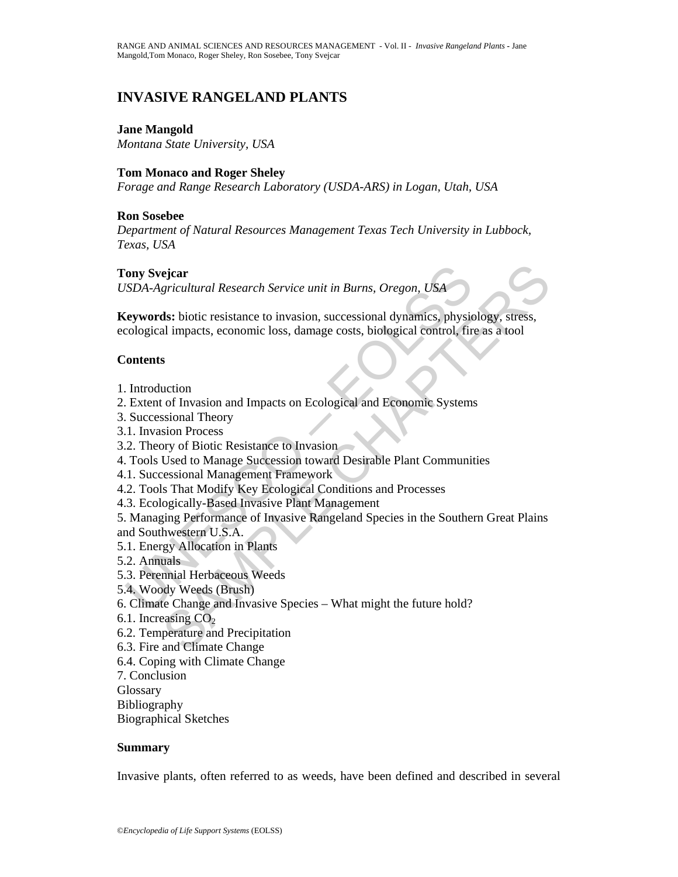# **INVASIVE RANGELAND PLANTS**

#### **Jane Mangold**

*Montana State University, USA* 

#### **Tom Monaco and Roger Sheley**

*Forage and Range Research Laboratory (USDA-ARS) in Logan, Utah, USA* 

## **Ron Sosebee**

*Department of Natural Resources Management Texas Tech University in Lubbock, Texas, USA* 

#### **Tony Svejcar**

*USDA-Agricultural Research Service unit in Burns, Oregon, USA*

**Keywords:** biotic resistance to invasion, successional dynamics, physiology, stress, ecological impacts, economic loss, damage costs, biological control, fire as a tool

## **Contents**

- 1. Introduction
- 2. Extent of Invasion and Impacts on Ecological and Economic Systems
- 3. Successional Theory
- 3.1. Invasion Process
- 3.2. Theory of Biotic Resistance to Invasion
- 4. Tools Used to Manage Succession toward Desirable Plant Communities
- 4.1. Successional Management Framework
- 4.2. Tools That Modify Key Ecological Conditions and Processes
- 4.3. Ecologically-Based Invasive Plant Management

For Several Research Service unit in Burns, Oregon, USA<br>
SDA-Agricultural Research Service unit in Burns, Oregon, USA<br>
Everyords: biotic resistance to invasion, successional dynamics, physicological impacts, economic loss, ejcar<br>
ejcar<br>
egicultural Research Service unit in Burns, Oregon, USA<br>
ds: biotic resistance to invasion, successional dynamics, physiology, stress,<br>
al impacts, economic loss, damage costs, biological control, fire as a t 5. Managing Performance of Invasive Rangeland Species in the Southern Great Plains and Southwestern U.S.A.

- 5.1. Energy Allocation in Plants
- 5.2. Annuals
- 5.3. Perennial Herbaceous Weeds
- 5.4. Woody Weeds (Brush)
- 6. Climate Change and Invasive Species What might the future hold?
- 6.1. Increasing  $CO<sub>2</sub>$
- 6.2. Temperature and Precipitation
- 6.3. Fire and Climate Change
- 6.4. Coping with Climate Change
- 7. Conclusion
- **Glossary**
- Bibliography
- Biographical Sketches

#### **Summary**

Invasive plants, often referred to as weeds, have been defined and described in several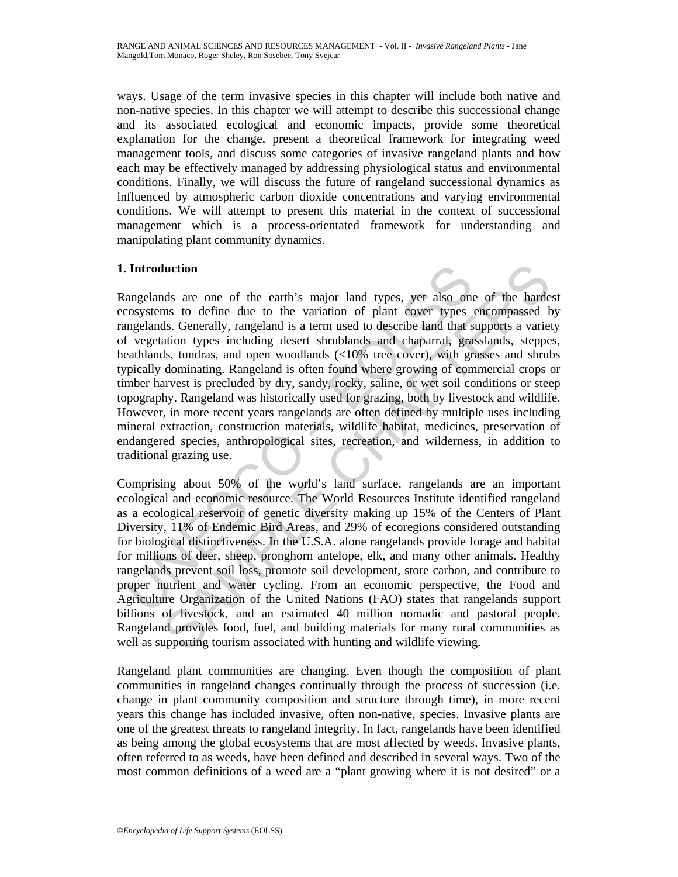ways. Usage of the term invasive species in this chapter will include both native and non-native species. In this chapter we will attempt to describe this successional change and its associated ecological and economic impacts, provide some theoretical explanation for the change, present a theoretical framework for integrating weed management tools, and discuss some categories of invasive rangeland plants and how each may be effectively managed by addressing physiological status and environmental conditions. Finally, we will discuss the future of rangeland successional dynamics as influenced by atmospheric carbon dioxide concentrations and varying environmental conditions. We will attempt to present this material in the context of successional management which is a process-orientated framework for understanding and manipulating plant community dynamics.

## **1. Introduction**

Introduction<br>angelands are one of the earth's major land types, yet also one<br>cosystems to define due to the variation of plant cover types<br>angelands. Generally, rangeland is a term used to describe land that s<br>f vegetation luction<br>
als are one of the carth's major land types, yet also one of the hardes<br>
ans to define due to the variation of plant cover types encompassed b<br>
as the charally, rangeland is a term used to describe land that suppo Rangelands are one of the earth's major land types, yet also one of the hardest ecosystems to define due to the variation of plant cover types encompassed by rangelands. Generally, rangeland is a term used to describe land that supports a variety of vegetation types including desert shrublands and chaparral, grasslands, steppes, heathlands, tundras, and open woodlands (<10% tree cover), with grasses and shrubs typically dominating. Rangeland is often found where growing of commercial crops or timber harvest is precluded by dry, sandy, rocky, saline, or wet soil conditions or steep topography. Rangeland was historically used for grazing, both by livestock and wildlife. However, in more recent years rangelands are often defined by multiple uses including mineral extraction, construction materials, wildlife habitat, medicines, preservation of endangered species, anthropological sites, recreation, and wilderness, in addition to traditional grazing use.

Comprising about 50% of the world's land surface, rangelands are an important ecological and economic resource. The World Resources Institute identified rangeland as a ecological reservoir of genetic diversity making up 15% of the Centers of Plant Diversity, 11% of Endemic Bird Areas, and 29% of ecoregions considered outstanding for biological distinctiveness. In the U.S.A. alone rangelands provide forage and habitat for millions of deer, sheep, pronghorn antelope, elk, and many other animals. Healthy rangelands prevent soil loss, promote soil development, store carbon, and contribute to proper nutrient and water cycling. From an economic perspective, the Food and Agriculture Organization of the United Nations (FAO) states that rangelands support billions of livestock, and an estimated 40 million nomadic and pastoral people. Rangeland provides food, fuel, and building materials for many rural communities as well as supporting tourism associated with hunting and wildlife viewing.

Rangeland plant communities are changing. Even though the composition of plant communities in rangeland changes continually through the process of succession (i.e. change in plant community composition and structure through time), in more recent years this change has included invasive, often non-native, species. Invasive plants are one of the greatest threats to rangeland integrity. In fact, rangelands have been identified as being among the global ecosystems that are most affected by weeds. Invasive plants, often referred to as weeds, have been defined and described in several ways. Two of the most common definitions of a weed are a "plant growing where it is not desired" or a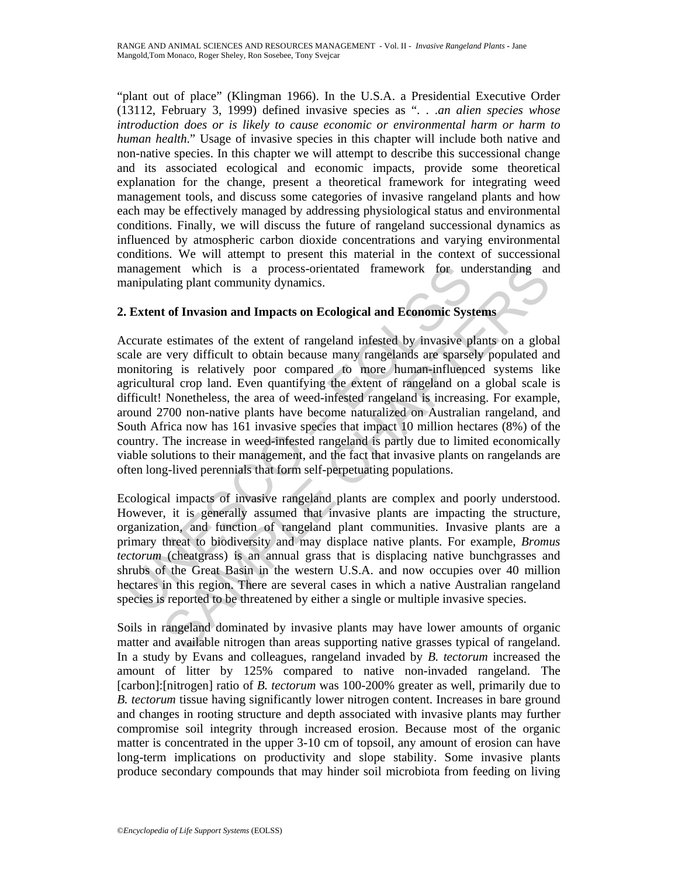"plant out of place" (Klingman 1966). In the U.S.A. a Presidential Executive Order (13112, February 3, 1999) defined invasive species as ". . .*an alien species whose introduction does or is likely to cause economic or environmental harm or harm to human health*." Usage of invasive species in this chapter will include both native and non-native species. In this chapter we will attempt to describe this successional change and its associated ecological and economic impacts, provide some theoretical explanation for the change, present a theoretical framework for integrating weed management tools, and discuss some categories of invasive rangeland plants and how each may be effectively managed by addressing physiological status and environmental conditions. Finally, we will discuss the future of rangeland successional dynamics as influenced by atmospheric carbon dioxide concentrations and varying environmental conditions. We will attempt to present this material in the context of successional management which is a process-orientated framework for understanding and manipulating plant community dynamics.

## **2. Extent of Invasion and Impacts on Ecological and Economic Systems**

anagement which is a process-orientated framework for unanipulating plant community dynamics.<br> **Extent of Invasion and Impacts on Ecological and Economic Systemation**<br>
Contract estimates of the extent of rangeland infested neutricular sites. The approximation of the method in an approached transmit and the string plant community dynamics.<br> **Cological and Economic Systems**<br>
estimates of the extent of rangeland infested by invasive plants on a Accurate estimates of the extent of rangeland infested by invasive plants on a global scale are very difficult to obtain because many rangelands are sparsely populated and monitoring is relatively poor compared to more human-influenced systems like agricultural crop land. Even quantifying the extent of rangeland on a global scale is difficult! Nonetheless, the area of weed-infested rangeland is increasing. For example, around 2700 non-native plants have become naturalized on Australian rangeland, and South Africa now has 161 invasive species that impact 10 million hectares (8%) of the country. The increase in weed-infested rangeland is partly due to limited economically viable solutions to their management, and the fact that invasive plants on rangelands are often long-lived perennials that form self-perpetuating populations.

Ecological impacts of invasive rangeland plants are complex and poorly understood. However, it is generally assumed that invasive plants are impacting the structure, organization, and function of rangeland plant communities. Invasive plants are a primary threat to biodiversity and may displace native plants. For example, *Bromus tectorum* (cheatgrass) is an annual grass that is displacing native bunchgrasses and shrubs of the Great Basin in the western U.S.A. and now occupies over 40 million hectares in this region. There are several cases in which a native Australian rangeland species is reported to be threatened by either a single or multiple invasive species.

Soils in rangeland dominated by invasive plants may have lower amounts of organic matter and available nitrogen than areas supporting native grasses typical of rangeland. In a study by Evans and colleagues, rangeland invaded by *B. tectorum* increased the amount of litter by 125% compared to native non-invaded rangeland. The [carbon]:[nitrogen] ratio of *B. tectorum* was 100-200% greater as well, primarily due to *B. tectorum* tissue having significantly lower nitrogen content. Increases in bare ground and changes in rooting structure and depth associated with invasive plants may further compromise soil integrity through increased erosion. Because most of the organic matter is concentrated in the upper 3-10 cm of topsoil, any amount of erosion can have long-term implications on productivity and slope stability. Some invasive plants produce secondary compounds that may hinder soil microbiota from feeding on living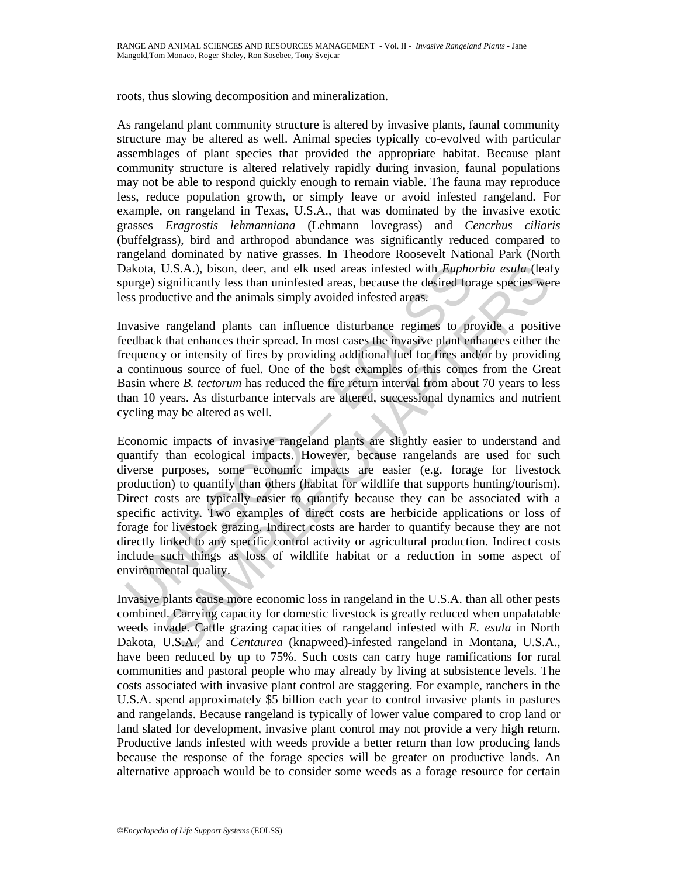roots, thus slowing decomposition and mineralization.

As rangeland plant community structure is altered by invasive plants, faunal community structure may be altered as well. Animal species typically co-evolved with particular assemblages of plant species that provided the appropriate habitat. Because plant community structure is altered relatively rapidly during invasion, faunal populations may not be able to respond quickly enough to remain viable. The fauna may reproduce less, reduce population growth, or simply leave or avoid infested rangeland. For example, on rangeland in Texas, U.S.A., that was dominated by the invasive exotic grasses *Eragrostis lehmanniana* (Lehmann lovegrass) and *Cencrhus ciliaris* (buffelgrass), bird and arthropod abundance was significantly reduced compared to rangeland dominated by native grasses. In Theodore Roosevelt National Park (North Dakota, U.S.A.), bison, deer, and elk used areas infested with *Euphorbia esula* (leafy spurge) significantly less than uninfested areas, because the desired forage species were less productive and the animals simply avoided infested areas.

Invasive rangeland plants can influence disturbance regimes to provide a positive feedback that enhances their spread. In most cases the invasive plant enhances either the frequency or intensity of fires by providing additional fuel for fires and/or by providing a continuous source of fuel. One of the best examples of this comes from the Great Basin where *B. tectorum* has reduced the fire return interval from about 70 years to less than 10 years. As disturbance intervals are altered, successional dynamics and nutrient cycling may be altered as well.

akota, U.S.A.), bison, deer, and elk used areas infested with *Eupho*<br>ourge) significantly less than uninfested areas, because the desired for<br>ss productive and the animals simply avoided infested areas.<br>vasive rangeland p U.S.A.), bison, deer, and elk used areas infested with *Euphorbia esula* (leat<br>ignificantly less than unifiested areas, because the desired forage species we<br>uctive and the animals simply avoided infested areas.<br>rangeland Economic impacts of invasive rangeland plants are slightly easier to understand and quantify than ecological impacts. However, because rangelands are used for such diverse purposes, some economic impacts are easier (e.g. forage for livestock production) to quantify than others (habitat for wildlife that supports hunting/tourism). Direct costs are typically easier to quantify because they can be associated with a specific activity. Two examples of direct costs are herbicide applications or loss of forage for livestock grazing. Indirect costs are harder to quantify because they are not directly linked to any specific control activity or agricultural production. Indirect costs include such things as loss of wildlife habitat or a reduction in some aspect of environmental quality.

Invasive plants cause more economic loss in rangeland in the U.S.A. than all other pests combined. Carrying capacity for domestic livestock is greatly reduced when unpalatable weeds invade. Cattle grazing capacities of rangeland infested with *E. esula* in North Dakota, U.S.A., and *Centaurea* (knapweed)-infested rangeland in Montana, U.S.A., have been reduced by up to 75%. Such costs can carry huge ramifications for rural communities and pastoral people who may already by living at subsistence levels. The costs associated with invasive plant control are staggering. For example, ranchers in the U.S.A. spend approximately \$5 billion each year to control invasive plants in pastures and rangelands. Because rangeland is typically of lower value compared to crop land or land slated for development, invasive plant control may not provide a very high return. Productive lands infested with weeds provide a better return than low producing lands because the response of the forage species will be greater on productive lands. An alternative approach would be to consider some weeds as a forage resource for certain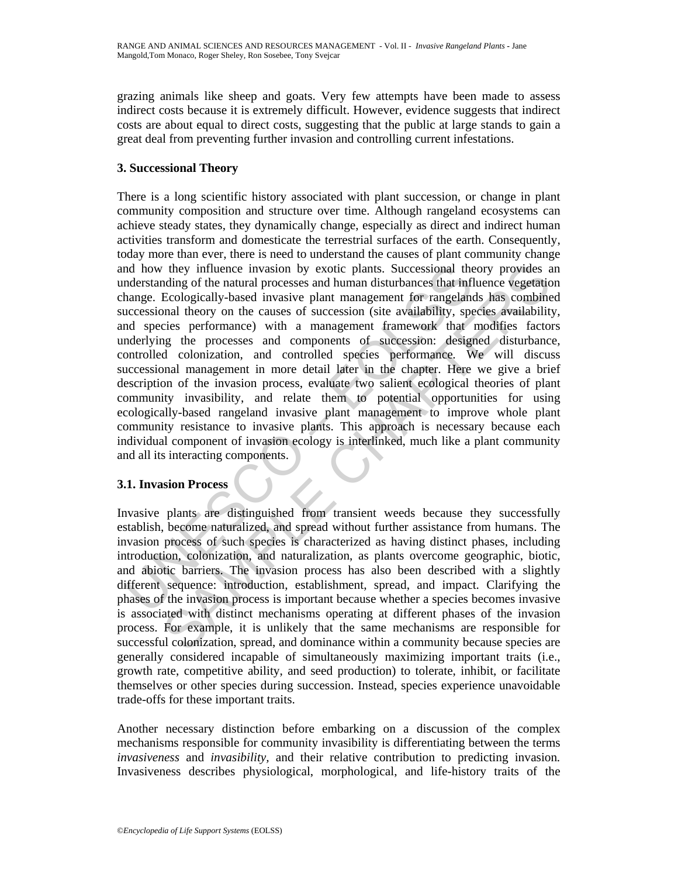grazing animals like sheep and goats. Very few attempts have been made to assess indirect costs because it is extremely difficult. However, evidence suggests that indirect costs are about equal to direct costs, suggesting that the public at large stands to gain a great deal from preventing further invasion and controlling current infestations.

# **3. Successional Theory**

nd how they influence invasion by exotic plants. Successional the<br>derstanding of the natural processes and human disturbances that infl<br>anarge. Ecologically-based invasive plant management for rangelam<br>crecessional theory They influence invasion by exotic plants. Successional theory provides a<br>diago of the natural processes and human disturbances that influence vegetation<br>decologically-based invasive plant management for rangelands has comb There is a long scientific history associated with plant succession, or change in plant community composition and structure over time. Although rangeland ecosystems can achieve steady states, they dynamically change, especially as direct and indirect human activities transform and domesticate the terrestrial surfaces of the earth. Consequently, today more than ever, there is need to understand the causes of plant community change and how they influence invasion by exotic plants. Successional theory provides an understanding of the natural processes and human disturbances that influence vegetation change. Ecologically-based invasive plant management for rangelands has combined successional theory on the causes of succession (site availability, species availability, and species performance) with a management framework that modifies factors underlying the processes and components of succession: designed disturbance, controlled colonization, and controlled species performance*.* We will discuss successional management in more detail later in the chapter. Here we give a brief description of the invasion process, evaluate two salient ecological theories of plant community invasibility, and relate them to potential opportunities for using ecologically-based rangeland invasive plant management to improve whole plant community resistance to invasive plants. This approach is necessary because each individual component of invasion ecology is interlinked, much like a plant community and all its interacting components.

# **3.1. Invasion Process**

Invasive plants are distinguished from transient weeds because they successfully establish, become naturalized, and spread without further assistance from humans. The invasion process of such species is characterized as having distinct phases, including introduction, colonization, and naturalization, as plants overcome geographic, biotic, and abiotic barriers. The invasion process has also been described with a slightly different sequence: introduction, establishment, spread, and impact. Clarifying the phases of the invasion process is important because whether a species becomes invasive is associated with distinct mechanisms operating at different phases of the invasion process. For example, it is unlikely that the same mechanisms are responsible for successful colonization, spread, and dominance within a community because species are generally considered incapable of simultaneously maximizing important traits (i.e., growth rate, competitive ability, and seed production) to tolerate, inhibit, or facilitate themselves or other species during succession. Instead, species experience unavoidable trade-offs for these important traits.

Another necessary distinction before embarking on a discussion of the complex mechanisms responsible for community invasibility is differentiating between the terms *invasiveness* and *invasibility,* and their relative contribution to predicting invasion*.*  Invasiveness describes physiological, morphological, and life-history traits of the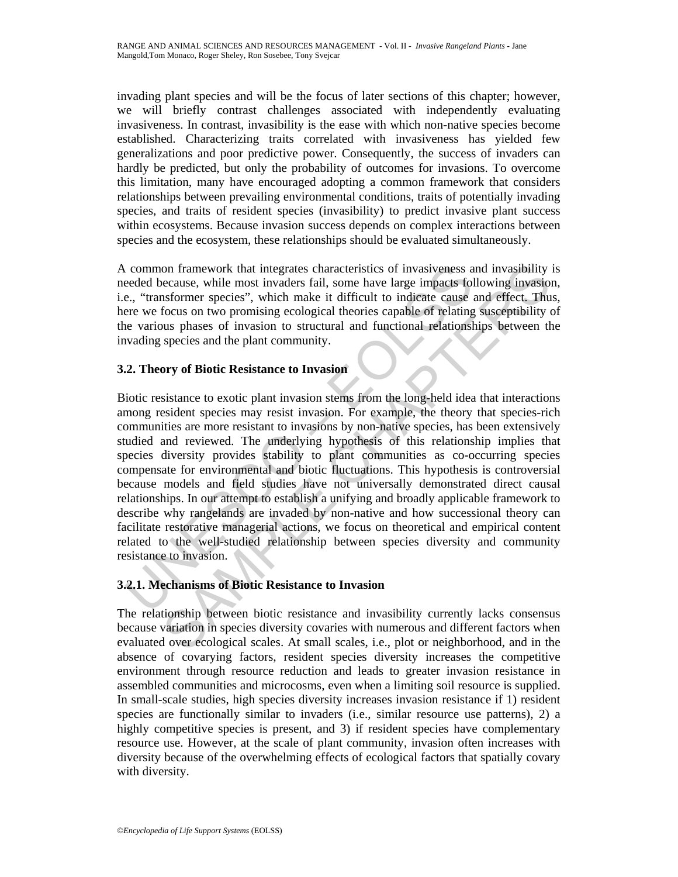invading plant species and will be the focus of later sections of this chapter; however, we will briefly contrast challenges associated with independently evaluating invasiveness. In contrast, invasibility is the ease with which non-native species become established. Characterizing traits correlated with invasiveness has yielded few generalizations and poor predictive power. Consequently, the success of invaders can hardly be predicted, but only the probability of outcomes for invasions. To overcome this limitation, many have encouraged adopting a common framework that considers relationships between prevailing environmental conditions, traits of potentially invading species, and traits of resident species (invasibility) to predict invasive plant success within ecosystems. Because invasion success depends on complex interactions between species and the ecosystem, these relationships should be evaluated simultaneously.

A common framework that integrates characteristics of invasiveness and invasibility is needed because, while most invaders fail, some have large impacts following invasion, i.e., "transformer species", which make it difficult to indicate cause and effect. Thus, here we focus on two promising ecological theories capable of relating susceptibility of the various phases of invasion to structural and functional relationships between the invading species and the plant community.

## **3.2. Theory of Biotic Resistance to Invasion**

Common framework that integrates characteristics of invasiveness a<br>ceeded because, while most invaders fail, some have large impacts fol-<br>e, "transformer species", which make it difficult to indicate cause<br>per eve focus on on framework that integrates characteristics of invasiveness and invasibility<br>cecause, which most invaders fail, some have large impacts following invasion<br>insformer species", which make it difficult to indicate cause and Biotic resistance to exotic plant invasion stems from the long-held idea that interactions among resident species may resist invasion. For example, the theory that species-rich communities are more resistant to invasions by non-native species, has been extensively studied and reviewed. The underlying hypothesis of this relationship implies that species diversity provides stability to plant communities as co-occurring species compensate for environmental and biotic fluctuations. This hypothesis is controversial because models and field studies have not universally demonstrated direct causal relationships. In our attempt to establish a unifying and broadly applicable framework to describe why rangelands are invaded by non-native and how successional theory can facilitate restorative managerial actions, we focus on theoretical and empirical content related to the well-studied relationship between species diversity and community resistance to invasion.

# **3.2.1. Mechanisms of Biotic Resistance to Invasion**

The relationship between biotic resistance and invasibility currently lacks consensus because variation in species diversity covaries with numerous and different factors when evaluated over ecological scales. At small scales, i.e., plot or neighborhood, and in the absence of covarying factors, resident species diversity increases the competitive environment through resource reduction and leads to greater invasion resistance in assembled communities and microcosms, even when a limiting soil resource is supplied. In small-scale studies, high species diversity increases invasion resistance if 1) resident species are functionally similar to invaders (i.e., similar resource use patterns), 2) a highly competitive species is present, and 3) if resident species have complementary resource use. However, at the scale of plant community, invasion often increases with diversity because of the overwhelming effects of ecological factors that spatially covary with diversity.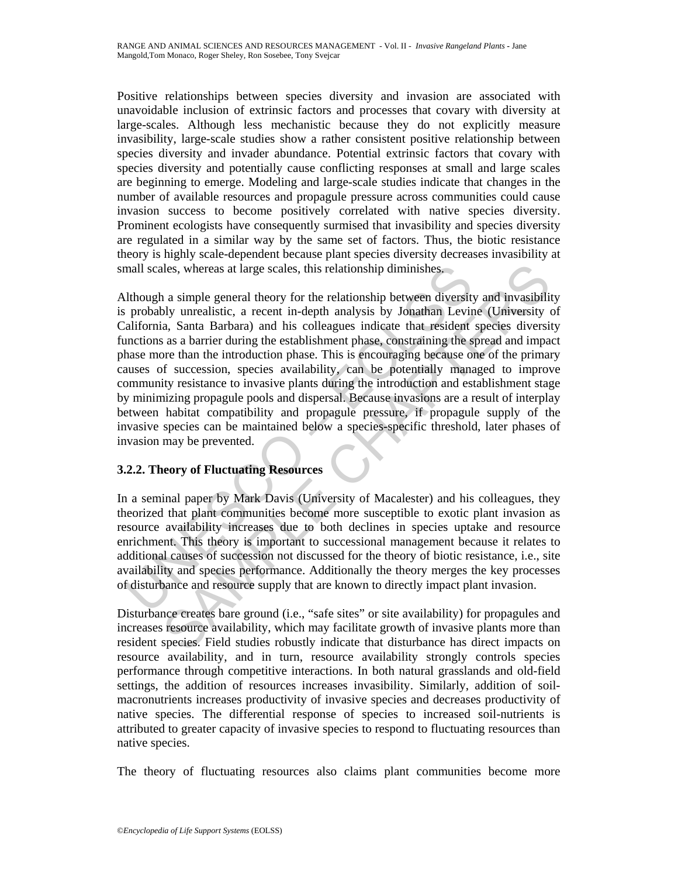Positive relationships between species diversity and invasion are associated with unavoidable inclusion of extrinsic factors and processes that covary with diversity at large-scales. Although less mechanistic because they do not explicitly measure invasibility, large-scale studies show a rather consistent positive relationship between species diversity and invader abundance. Potential extrinsic factors that covary with species diversity and potentially cause conflicting responses at small and large scales are beginning to emerge. Modeling and large-scale studies indicate that changes in the number of available resources and propagule pressure across communities could cause invasion success to become positively correlated with native species diversity. Prominent ecologists have consequently surmised that invasibility and species diversity are regulated in a similar way by the same set of factors. Thus, the biotic resistance theory is highly scale-dependent because plant species diversity decreases invasibility at small scales, whereas at large scales, this relationship diminishes.

mall scales, whereas at large scales, this relationship diminishes,<br>
lthough a simple general theory for the relationship between diversity<br>
probably unrealistic, a recent in-depth analysis by Jonathan Levir<br>
alifornia, Sa lles, whereas at large scales, this relationship diminishes,<br>ales, whereas at large scales, this relationship between diversity and invasibility<br>by unrealistic, a recent in-depth analysis by Jonathan Levine (University c<br>a Although a simple general theory for the relationship between diversity and invasibility is probably unrealistic, a recent in-depth analysis by Jonathan Levine (University of California, Santa Barbara) and his colleagues indicate that resident species diversity functions as a barrier during the establishment phase, constraining the spread and impact phase more than the introduction phase. This is encouraging because one of the primary causes of succession, species availability, can be potentially managed to improve community resistance to invasive plants during the introduction and establishment stage by minimizing propagule pools and dispersal. Because invasions are a result of interplay between habitat compatibility and propagule pressure, if propagule supply of the invasive species can be maintained below a species-specific threshold, later phases of invasion may be prevented.

# **3.2.2. Theory of Fluctuating Resources**

In a seminal paper by Mark Davis (University of Macalester) and his colleagues, they theorized that plant communities become more susceptible to exotic plant invasion as resource availability increases due to both declines in species uptake and resource enrichment. This theory is important to successional management because it relates to additional causes of succession not discussed for the theory of biotic resistance, i.e., site availability and species performance. Additionally the theory merges the key processes of disturbance and resource supply that are known to directly impact plant invasion.

Disturbance creates bare ground (i.e., "safe sites" or site availability) for propagules and increases resource availability, which may facilitate growth of invasive plants more than resident species. Field studies robustly indicate that disturbance has direct impacts on resource availability, and in turn, resource availability strongly controls species performance through competitive interactions. In both natural grasslands and old-field settings, the addition of resources increases invasibility. Similarly, addition of soilmacronutrients increases productivity of invasive species and decreases productivity of native species. The differential response of species to increased soil-nutrients is attributed to greater capacity of invasive species to respond to fluctuating resources than native species.

The theory of fluctuating resources also claims plant communities become more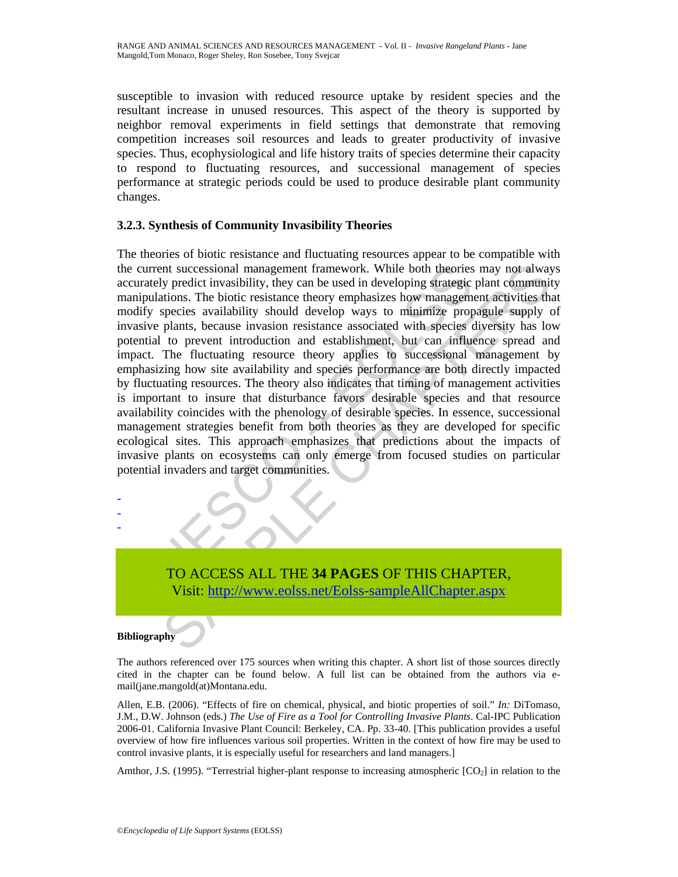susceptible to invasion with reduced resource uptake by resident species and the resultant increase in unused resources. This aspect of the theory is supported by neighbor removal experiments in field settings that demonstrate that removing competition increases soil resources and leads to greater productivity of invasive species. Thus, ecophysiological and life history traits of species determine their capacity to respond to fluctuating resources, and successional management of species performance at strategic periods could be used to produce desirable plant community changes.

## **3.2.3. Synthesis of Community Invasibility Theories**

is expectively redict invasibility, they can be used in developing strategicy predict invasibility, they can be used in developing strategic cooldry species availability, should develop ways to minimize proposition of the Interactional management framework. While both theories may not alway<br>y predict invasibility, they can be used in developing strategic plant community<br>species availability should develop ways to minimize propagule supply c The theories of biotic resistance and fluctuating resources appear to be compatible with the current successional management framework. While both theories may not always accurately predict invasibility, they can be used in developing strategic plant community manipulations. The biotic resistance theory emphasizes how management activities that modify species availability should develop ways to minimize propagule supply of invasive plants, because invasion resistance associated with species diversity has low potential to prevent introduction and establishment, but can influence spread and impact. The fluctuating resource theory applies to successional management by emphasizing how site availability and species performance are both directly impacted by fluctuating resources. The theory also indicates that timing of management activities is important to insure that disturbance favors desirable species and that resource availability coincides with the phenology of desirable species. In essence, successional management strategies benefit from both theories as they are developed for specific ecological sites. This approach emphasizes that predictions about the impacts of invasive plants on ecosystems can only emerge from focused studies on particular potential invaders and target communities.

TO ACCESS ALL THE **34 PAGES** OF THIS CHAPTER, Visit: http://www.eolss.net/Eolss-sampleAllChapter.aspx

#### **Bibliography**

- - -

The authors referenced over 175 sources when writing this chapter. A short list of those sources directly cited in the chapter can be found below. A full list can be obtained from the authors via email(jane.mangold(at)Montana.edu.

Allen, E.B. (2006). "Effects of fire on chemical, physical, and biotic properties of soil." *In:* DiTomaso, J.M., D.W. Johnson (eds.) *The Use of Fire as a Tool for Controlling Invasive Plants*. Cal-IPC Publication 2006-01. California Invasive Plant Council: Berkeley, CA. Pp. 33-40. [This publication provides a useful overview of how fire influences various soil properties. Written in the context of how fire may be used to control invasive plants, it is especially useful for researchers and land managers.]

Amthor, J.S. (1995). "Terrestrial higher-plant response to increasing atmospheric  $[CO_2]$  in relation to the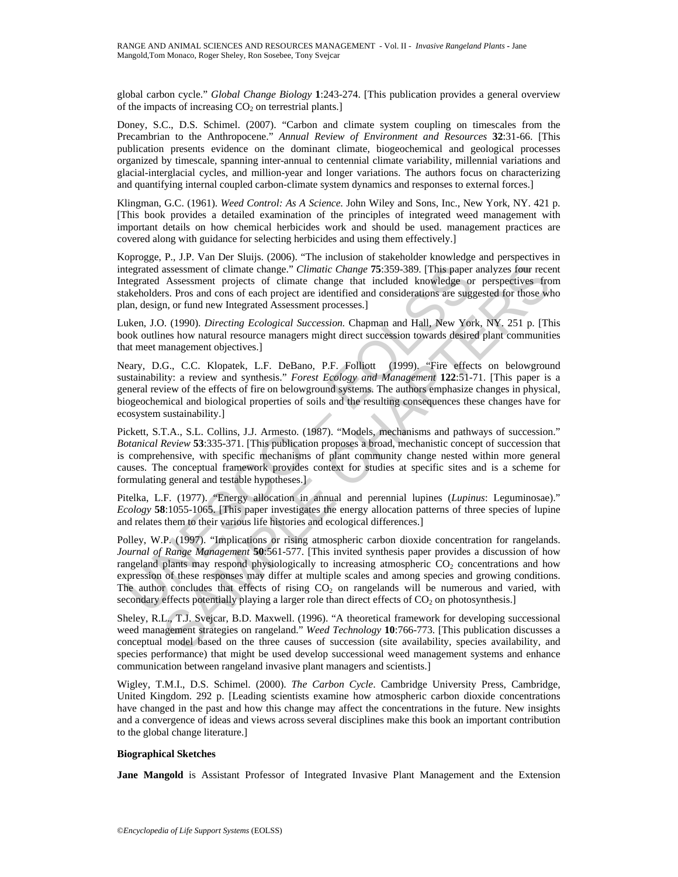global carbon cycle." *Global Change Biology* **1**:243-274. [This publication provides a general overview of the impacts of increasing  $CO<sub>2</sub>$  on terrestrial plants.

Doney, S.C., D.S. Schimel. (2007). "Carbon and climate system coupling on timescales from the Precambrian to the Anthropocene." *Annual Review of Environment and Resources* **32**:31-66. [This publication presents evidence on the dominant climate, biogeochemical and geological processes organized by timescale, spanning inter-annual to centennial climate variability, millennial variations and glacial-interglacial cycles, and million-year and longer variations. The authors focus on characterizing and quantifying internal coupled carbon-climate system dynamics and responses to external forces.]

Klingman, G.C. (1961). *Weed Control: As A Science.* John Wiley and Sons, Inc., New York, NY. 421 p. [This book provides a detailed examination of the principles of integrated weed management with important details on how chemical herbicides work and should be used. management practices are covered along with guidance for selecting herbicides and using them effectively.]

Koprogge, P., J.P. Van Der Sluijs. (2006). "The inclusion of stakeholder knowledge and perspectives in integrated assessment of climate change." *Climatic Change* **75**:359-389. [This paper analyzes four recent Integrated Assessment projects of climate change that included knowledge or perspectives from stakeholders. Pros and cons of each project are identified and considerations are suggested for those who plan, design, or fund new Integrated Assessment processes.]

Luken, J.O. (1990). *Directing Ecological Succession.* Chapman and Hall, New York, NY. 251 p. [This book outlines how natural resource managers might direct succession towards desired plant communities that meet management objectives.]

Neary, D.G., C.C. Klopatek, L.F. DeBano, P.F. Folliott (1999). "Fire effects on belowground sustainability: a review and synthesis." *Forest Ecology and Management* **122**:51-71. [This paper is a general review of the effects of fire on belowground systems. The authors emphasize changes in physical, biogeochemical and biological properties of soils and the resulting consequences these changes have for ecosystem sustainability.]

Pickett, S.T.A., S.L. Collins, J.J. Armesto. (1987). "Models, mechanisms and pathways of succession." *Botanical Review* **53**:335-371. [This publication proposes a broad, mechanistic concept of succession that is comprehensive, with specific mechanisms of plant community change nested within more general causes. The conceptual framework provides context for studies at specific sites and is a scheme for formulating general and testable hypotheses.]

Pitelka, L.F. (1977). "Energy allocation in annual and perennial lupines (*Lupinus*: Leguminosae)." *Ecology* **58**:1055-1065. [This paper investigates the energy allocation patterns of three species of lupine and relates them to their various life histories and ecological differences.]

tegrated assessment of climate change." *Climatic Change* 75:359-389. [This paper<br>tegrated Assessment projects of climate change that included knowledge or<br>decholders. Fros and cons of each project are identified and consi assessment of climate change." *Climatic Change* 75:359-389. [This paper analyzes four rece Assessment projects of climate change that included knowledge or perspectives from the sets. Pros and considerations are suggested Polley, W.P. (1997). "Implications or rising atmospheric carbon dioxide concentration for rangelands. *Journal of Range Management* **50**:561-577. [This invited synthesis paper provides a discussion of how rangeland plants may respond physiologically to increasing atmospheric  $CO<sub>2</sub>$  concentrations and how expression of these responses may differ at multiple scales and among species and growing conditions. The author concludes that effects of rising  $CO<sub>2</sub>$  on rangelands will be numerous and varied, with secondary effects potentially playing a larger role than direct effects of  $CO<sub>2</sub>$  on photosynthesis.]

Sheley, R.L., T.J. Svejcar, B.D. Maxwell. (1996). "A theoretical framework for developing successional weed management strategies on rangeland." *Weed Technology* **10**:766-773. [This publication discusses a conceptual model based on the three causes of succession (site availability, species availability, and species performance) that might be used develop successional weed management systems and enhance communication between rangeland invasive plant managers and scientists.]

Wigley, T.M.I., D.S. Schimel. (2000). *The Carbon Cycle*. Cambridge University Press, Cambridge, United Kingdom. 292 p. [Leading scientists examine how atmospheric carbon dioxide concentrations have changed in the past and how this change may affect the concentrations in the future. New insights and a convergence of ideas and views across several disciplines make this book an important contribution to the global change literature.]

#### **Biographical Sketches**

**Jane Mangold** is Assistant Professor of Integrated Invasive Plant Management and the Extension